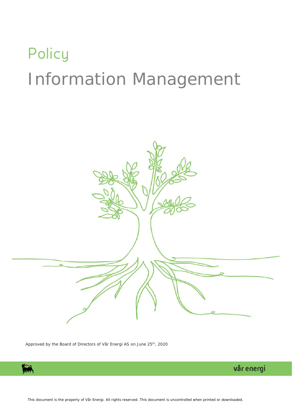# **Policy** Information Management



Approved by the Board of Directors of Vår Energi AS on June 25<sup>th</sup>, 2020

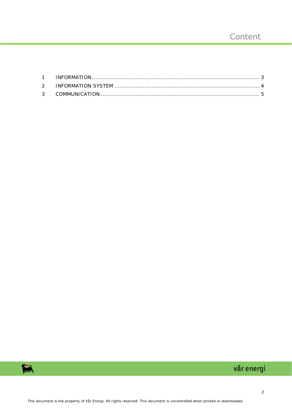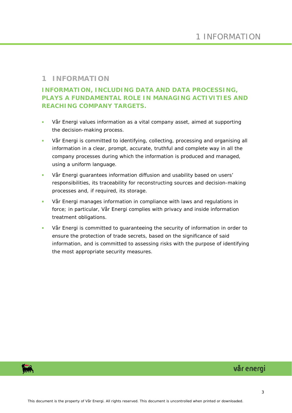#### <span id="page-2-0"></span>**1 INFORMATION**

# **INFORMATION, INCLUDING DATA AND DATA PROCESSING, PLAYS A FUNDAMENTAL ROLE IN MANAGING ACTIVITIES AND REACHING COMPANY TARGETS.**

- Vår Energi values information as a vital company asset, aimed at supporting the decision-making process.
- Vår Energi is committed to identifying, collecting, processing and organising all information in a clear, prompt, accurate, truthful and complete way in all the company processes during which the information is produced and managed, using a uniform language.
- Vår Energi guarantees information diffusion and usability based on users' responsibilities, its traceability for reconstructing sources and decision-making processes and, if required, its storage.
- Vår Energi manages information in compliance with laws and regulations in force; in particular, Vår Energi complies with privacy and inside information treatment obligations.
- Vår Energi is committed to guaranteeing the security of information in order to ensure the protection of trade secrets, based on the significance of said information, and is committed to assessing risks with the purpose of identifying the most appropriate security measures.

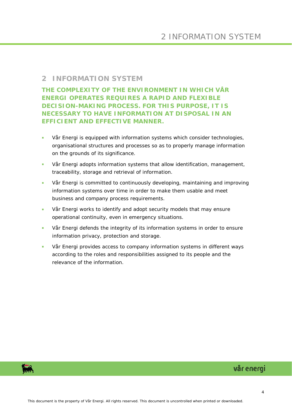### <span id="page-3-0"></span>**2 INFORMATION SYSTEM**

**THE COMPLEXITY OF THE ENVIRONMENT IN WHICH VÅR ENERGI OPERATES REQUIRES A RAPID AND FLEXIBLE DECISION-MAKING PROCESS. FOR THIS PURPOSE, IT IS NECESSARY TO HAVE INFORMATION AT DISPOSAL IN AN EFFICIENT AND EFFECTIVE MANNER.**

- Vår Energi is equipped with information systems which consider technologies, organisational structures and processes so as to properly manage information on the grounds of its significance.
- Vår Energi adopts information systems that allow identification, management, traceability, storage and retrieval of information.
- Vår Energi is committed to continuously developing, maintaining and improving information systems over time in order to make them usable and meet business and company process requirements.
- Vår Energi works to identify and adopt security models that may ensure operational continuity, even in emergency situations.
- Vår Energi defends the integrity of its information systems in order to ensure information privacy, protection and storage.
- Vår Energi provides access to company information systems in different ways according to the roles and responsibilities assigned to its people and the relevance of the information.